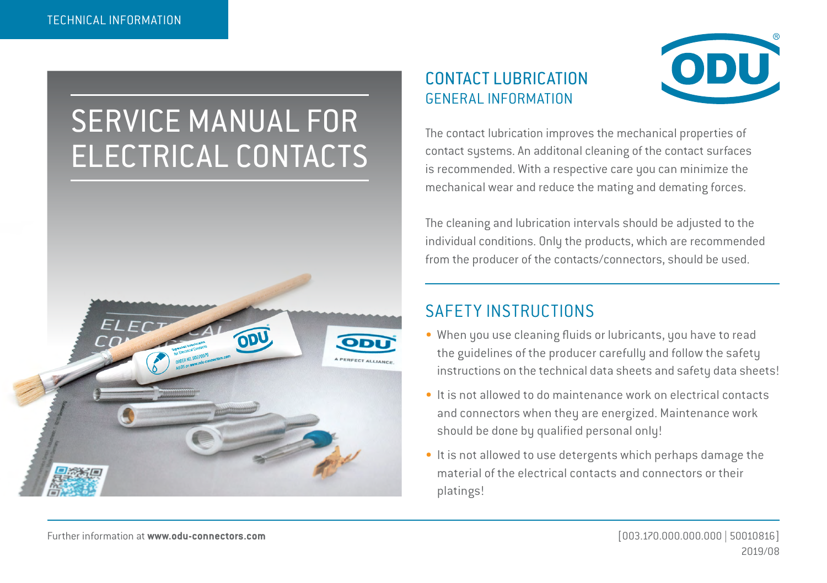## SERVICE MANUAL FOR ELECTRICAL CONTACTS



## CONTACT LUBRICATION GENERAL INFORMATION



The contact lubrication improves the mechanical properties of contact systems. An additonal cleaning of the contact surfaces is recommended. With a respective care you can minimize the mechanical wear and reduce the mating and demating forces.

The cleaning and lubrication intervals should be adjusted to the individual conditions. Only the products, which are recommended from the producer of the contacts/connectors, should be used.

## SAFETY INSTRUCTIONS

- When you use cleaning fluids or lubricants, you have to read the guidelines of the producer carefully and follow the safety instructions on the technical data sheets and safety data sheets!
- It is not allowed to do maintenance work on electrical contacts and connectors when they are energized. Maintenance work should be done by qualified personal only!
- It is not allowed to use detergents which perhaps damage the material of the electrical contacts and connectors or their platings!